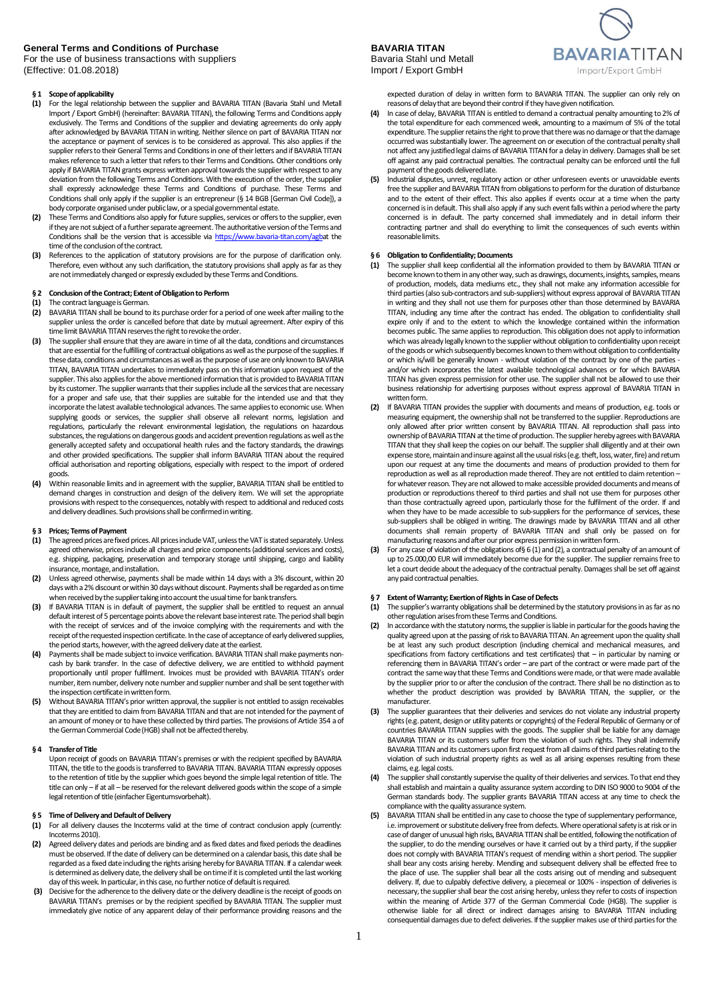## **General Terms and Conditions of Purchase <b>BAVARIA TITAN**<br>
For the use of business transactions with suppliers **Bavaria Stahl und Metall**

For the use of business transactions with suppliers **Bavaria Stahl und Metallic Ciffective:** 01.08.2018) **Bavaria Stahl und Metallic Ciffective:** 01.08.2018) (Effective: 01.08.2018)

### **§ 1 Scope of applicability**

- **(1)** For the legal relationship between the supplier and BAVARIA TITAN (Bavaria Stahl und Metall Import / Export GmbH) (hereinafter: BAVARIA TITAN), the following Terms and Conditions apply exclusively. The Terms and Conditions of the supplier and deviating agreements do only apply after acknowledged by BAVARIA TITAN in writing. Neither silence on part of BAVARIA TITAN nor the acceptance or payment of services is to be considered as approval. This also applies if the supplier refers to their General Terms and Conditions in one of their letters and if BAVARIA TITAN makes reference to such a letter that refers to their Terms and Conditions. Other conditions only apply if BAVARIA TITAN grants express written approval towards the supplier with respect to any deviation from the following Terms and Conditions. With the execution of the order, the supplier shall expressly acknowledge these Terms and Conditions of purchase. These Terms and Conditions shall only apply if the supplier is an entrepreneur (§ 14 BGB [German Civil Code]), a body corporate organised under public law, or a special governmental estate.
- **(2)** These Terms and Conditions also apply for future supplies, services or offers to the supplier, even if they are not subject of a further separate agreement. The authoritative version of the Terms and Conditions shall be the version that is accessible vi[a https://www.bavaria-titan.com/agba](https://www.bavaria-titan.com/agb)t the time of the conclusion of the contract.
- **(3)** References to the application of statutory provisions are for the purpose of clarification only. Therefore, even without any such clarification, the statutory provisions shall apply as far as they are not immediately changed or expressly excluded by these Terms and Conditions.

### **§ 2 Conclusion of the Contract; Extent of Obligationto Perform**

### **(1)** The contract language is German.<br>**(2)** BAVARIA TITAN shall be bound to

- **(2)** BAVARIA TITAN shall be bound to its purchase order for a period of one week after mailing to the supplier unless the order is cancelled before that date by mutual agreement. After expiry of this time limit BAVARIA TITAN reserves the right to revoke the order.
- **(3)** The suppliershall ensure that they are aware in time of all the data, conditions and circumstances that are essential for the fulfilling of contractual obligations as well as the purpose of the supplies. If these data, conditions and circumstances as well as the purpose of use are only known to BAVARIA TITAN, BAVARIA TITAN undertakes to immediately pass on thisinformation upon request of the supplier. This also applies for the above mentioned information that is provided to BAVARIA TITAN by its customer. The supplier warrants that their supplies include all the services that are necessary for a proper and safe use, that their supplies are suitable for the intended use and that they incorporate the latest available technological advances. The same applies to economic use. When supplying goods or services, the supplier shall observe all relevant norms, legislation and regulations, particularly the relevant environmental legislation, the regulations on hazardous substances, the regulations on dangerous goods and accident prevention regulations as well as the generally accepted safety and occupational health rules and the factory standards, the drawings and other provided specifications. The supplier shall inform BAVARIA TITAN about the required official authorisation and reporting obligations, especially with respect to the import of ordered goods.
- **(4)** Within reasonable limits and in agreement with the supplier, BAVARIA TITAN shall be entitled to demand changes in construction and design of the delivery item. We will set the appropriate provisions with respect to the consequences, notably with respect to additional and reduced costs and delivery deadlines. Such provisions shall be confirmed in writing.

#### **§ 3 Prices; Terms of Payment**

- **(1)** The agreed prices are fixed prices. All prices include VAT, unless the VAT is stated separately. Unless agreed otherwise, prices include all charges and price components (additional services and costs), e.g. shipping, packaging, preservation and temporary storage until shipping, cargo and liability insurance, montage, and installation.
- **(2)** Unless agreed otherwise, payments shall be made within 14 days with a 3% discount, within 20 days with a 2% discount or within 30 days without discount. Payments shall be regarded as on time when received by the supplier taking into account the usual time for bank transfers.
- **(3)** If BAVARIA TITAN is in default of payment, the supplier shall be entitled to request an annual default interest of 5 percentage points above the relevant base interest rate. The period shall begin with the receipt of services and of the invoice complying with the requirements and with the receipt of the requested inspection certificate. In the case of acceptance of early delivered supplies, the period starts, however, with the agreed delivery date at the earliest.
- **(4)** Payments shall be made subject to invoice verification. BAVARIA TITAN shall make payments non-cash by bank transfer. In the case of defective delivery, we are entitled to withhold payment proportionally until proper fulfilment. Invoices must be provided with BAVARIA TITAN's order number, item number, delivery note number and supplier number and shall be sent together with the inspection certificate in written form.
- **(5)** Without BAVARIA TITAN's prior written approval, the supplier is not entitled to assign receivables that they are entitled to claim from BAVARIA TITAN and that are not intended for the payment of an amount of money or to have these collected by third parties. The provisions of Article 354 a of the German Commercial Code (HGB) shall not be affected thereby.

#### **§ 4 Transferof Title**

Upon receipt of goods on BAVARIA TITAN's premises or with the recipient specified by BAVARIA TITAN, the title to the goods is transferred to BAVARIA TITAN. BAVARIA TITAN expressly opposes to the retention of title by the supplier which goes beyond the simple legal retention of title. The title can only – if at all – be reserved for the relevant delivered goods within the scope of a simple legal retention of title(einfacher Eigentumsvorbehalt).

## **§ 5 Time of Delivery and Default of Delivery (1)** For all delivery clauses the Incoterms value

- For all delivery clauses the Incoterms valid at the time of contract conclusion apply (currently: Incoterms 2010).
- **(2)** Agreed delivery dates and periods are binding and as fixed dates and fixed periods the deadlines must be observed. If the date of delivery can be determined on a calendar basis, this date shall be regarded as a fixed date including the rights arising hereby for BAVARIA TITAN. If a calendar week is determined as delivery date, the delivery shall be on time if it is completed until the last working day of this week. In particular, in this case, no further notice of default is required.
- **(3)** Decisive for the adherence to the delivery date or the delivery deadline is the receipt of goods on BAVARIA TITAN's premises or by the recipient specified by BAVARIA TITAN. The supplier must immediately give notice of any apparent delay of their performance providing reasons and the



expected duration of delay in written form to BAVARIA TITAN. The supplier can only rely on reasons of delay that are beyond their control if they havegiven notification.

- **(4)** In case of delay, BAVARIA TITAN is entitled to demand a contractual penalty amounting to 2% of the total expenditure for each commenced week, amounting to a maximum of 5% of the total expenditure. The supplier retains the right to prove that there was no damage or that the damage occurred was substantially lower. The agreement on or execution of the contractual penalty shall not affect any justified legal claims of BAVARIA TITAN for a delay in delivery. Damages shall be set off against any paid contractual penalties. The contractual penalty can be enforced until the full payment of the goods delivered late.
- **(5)** Industrial disputes, unrest, regulatory action or other unforeseen events or unavoidable events free the supplier and BAVARIA TITAN from obligations to perform for the duration of disturbance and to the extent of their effect. This also applies if events occur at a time when the party concerned is in default. This shall also apply if any such event falls within a period where the party concerned is in default. The party concerned shall immediately and in detail inform their contracting partner and shall do everything to limit the consequences of such events within reasonable limits.

#### **§ 6 Obligation to Confidentiality; Documents**

- **(1)** The supplier shall keep confidential all the information provided to them by BAVARIA TITAN or become known to them in any other way, such as drawings, documents, insights, samples, means of production, models, data mediums etc., they shall not make any information accessible for third parties(also sub-contractors and sub-suppliers) without express approval of BAVARIA TITAN in writing and they shall not use them for purposes other than those determined by BAVARIA TITAN, including any time after the contract has ended. The obligation to confidentiality shall expire only if and to the extent to which the knowledge contained within the information becomes public. The same applies to reproduction. This obligation does not apply to information which was already legally known to the supplier without obligation to confidentiality upon receipt of the goodsor which subsequently becomes known to them without obligation to confidentiality or which is/will be generally known - without violation of the contract by one of the parties and/or which incorporates the latest available technological advances or for which BAVARIA TITAN has given express permission for other use. The supplier shall not be allowed to use their business relationship for advertising purposes without express approval of BAVARIA TITAN in written form.
- **(2)** If BAVARIA TITAN provides the supplier with documents and means of production, e.g. tools or measuring equipment, the ownership shall not be transferred to the supplier. Reproductions are only allowed after prior written consent by BAVARIA TITAN. All reproduction shall pass into ownership of BAVARIA TITAN at the time of production. The supplier hereby agrees with BAVARIA TITAN that they shall keep the copies on our behalf. The supplier shall diligently and at their own expense store, maintain and insure against all the usual risks (e.g. theft, loss, water, fire) and return upon our request at any time the documents and means of production provided to them for reproduction as well as all reproduction made thereof. They are not entitled to claim retention – for whatever reason. They are not allowed to make accessible provided documents and means of production or reproductions thereof to third parties and shall not use them for purposes other than those contractually agreed upon, particularly those for the fulfilment of the order. If and when they have to be made accessible to sub-suppliers for the performance of services, these sub-suppliers shall be obliged in writing. The drawings made by BAVARIA TITAN and all other documents shall remain property of BAVARIA TITAN and shall only be passed on for manufacturing reasons and after our prior express permission in written form.
- For any case of violation of the obligations of§ 6 (1) and (2), a contractual penalty of an amount of up to 25.000,00 EUR will immediately become due for the supplier. The supplier remains free to let a court decide about the adequacy of the contractual penalty. Damages shall be set off against any paid contractual penalties.

### **§ 7 Extent of Warranty; Exertion of Rights in Case of Defects**<br>(1) The supplier's warranty obligations shall be determined by

- **(1)** The supplier's warranty obligations shall be determined by the statutory provisions in as far as no other regulation arises from these Terms and Conditions.
- **(2)** In accordance with the statutory norms, the supplier is liable in particular for the goods having the quality agreed upon at the passing of risk to BAVARIA TITAN. An agreement upon the quality shall be at least any such product description (including chemical and mechanical measures, and specifications from factory certifications and test certificates) that – in particular by naming or referencing them in BAVARIA TITAN's order – are part of the contract or were made part of the contract the same way that these Terms and Conditions were made, or that were made available by the supplier prior to or after the conclusion of the contract. There shall be no distinction as to whether the product description was provided by BAVARIA TITAN, the supplier, or the manufacturer.
- **(3)** The supplier guarantees that their deliveries and services do not violate any industrial property rights (e.g. patent, design or utility patents or copyrights) of the Federal Republic of Germany or of countries BAVARIA TITAN supplies with the goods. The supplier shall be liable for any damage BAVARIA TITAN or its customers suffer from the violation of such rights. They shall indemnify BAVARIA TITAN and its customers upon first request from all claims of third parties relating to the violation of such industrial property rights as well as all arising expenses resulting from these claims, e.g. legal costs.
- **(4)** The supplier shall constantly supervise the quality of their deliveries and services. To that end they shall establish and maintain a quality assurance system according to DIN ISO 9000 to 9004 of the German standards body. The supplier grants BAVARIA TITAN access at any time to check the compliance with the quality assurance system.
- **(5)** BAVARIA TITAN shall be entitled in any case to choose the type of supplementary performance, i.e. improvement or substitute delivery free from defects.Where operational safety is at risk or in case of danger of unusual high risks, BAVARIA TITAN shall be entitled, following the notification of the supplier, to do the mending ourselves or have it carried out by a third party, if the supplier does not comply with BAVARIA TITAN's request of mending within a short period. The supplier<br>shall bear any costs arising hereby. Mending and subsequent delivery shall be effected free to the place of use. The supplier shall bear all the costs arising out of mending and subsequent delivery. If, due to culpably defective delivery, a piecemeal or 100% - inspection of deliveries is necessary, the supplier shall bear the cost arising hereby, unless they refer to costs of inspection within the meaning of Article 377 of the German Commercial Code (HGB). The supplier is otherwise liable for all direct or indirect damages arising to BAVARIA TITAN including consequential damages due to defect deliveries. If the supplier makes use of third parties for the